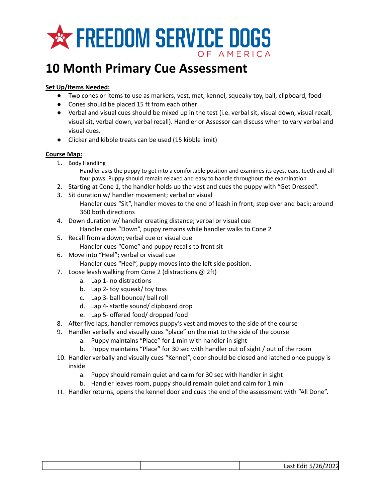

## **10 Month Primary Cue Assessment**

## **Set Up/Items Needed:**

- Two cones or items to use as markers, vest, mat, kennel, squeaky toy, ball, clipboard, food
- Cones should be placed 15 ft from each other
- Verbal and visual cues should be mixed up in the test (i.e. verbal sit, visual down, visual recall, visual sit, verbal down, verbal recall). Handler or Assessor can discuss when to vary verbal and visual cues.
- Clicker and kibble treats can be used (15 kibble limit)

## **Course Map:**

- 1. Body Handling
	- Handler asks the puppy to get into a comfortable position and examines its eyes, ears, teeth and all four paws. Puppy should remain relaxed and easy to handle throughout the examination
- 2. Starting at Cone 1, the handler holds up the vest and cues the puppy with "Get Dressed".
- 3. Sit duration w/ handler movement; verbal or visual Handler cues "Sit", handler moves to the end of leash in front; step over and back; around 360 both directions
- 4. Down duration w/ handler creating distance; verbal or visual cue
	- Handler cues "Down", puppy remains while handler walks to Cone 2
- 5. Recall from a down; verbal cue or visual cue Handler cues "Come" and puppy recalls to front sit
- 6. Move into "Heel"; verbal or visual cue
	- Handler cues "Heel", puppy moves into the left side position.
- 7. Loose leash walking from Cone 2 (distractions @ 2ft)
	- a. Lap 1- no distractions
	- b. Lap 2- toy squeak/ toy toss
	- c. Lap 3- ball bounce/ ball roll
	- d. Lap 4- startle sound/ clipboard drop
	- e. Lap 5- offered food/ dropped food
- 8. After five laps, handler removes puppy's vest and moves to the side of the course
- 9. Handler verbally and visually cues "place" on the mat to the side of the course
	- a. Puppy maintains "Place" for 1 min with handler in sight
	- b. Puppy maintains "Place" for 30 sec with handler out of sight / out of the room
- 10. Handler verbally and visually cues "Kennel", door should be closed and latched once puppy is inside
	- a. Puppy should remain quiet and calm for 30 sec with handler in sight
	- b. Handler leaves room, puppy should remain quiet and calm for 1 min
- 11. Handler returns, opens the kennel door and cues the end of the assessment with "All Done".

| Last Edit 5/26/2022 |
|---------------------|
|---------------------|